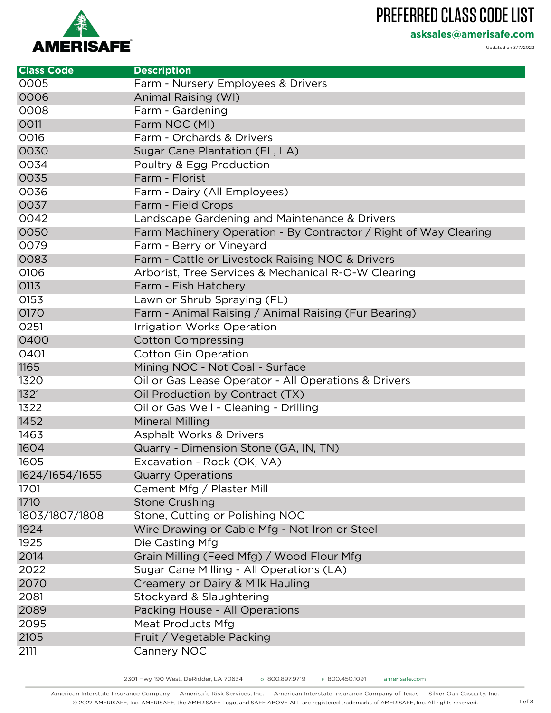**asksales@amerisafe.com**

**AMERISAFE** 

Updated on 3/7/2022

| <b>Class Code</b> | <b>Description</b>                                               |
|-------------------|------------------------------------------------------------------|
| 0005              | Farm - Nursery Employees & Drivers                               |
| 0006              | Animal Raising (WI)                                              |
| 0008              | Farm - Gardening                                                 |
| 0011              | Farm NOC (MI)                                                    |
| 0016              | Farm - Orchards & Drivers                                        |
| 0030              | Sugar Cane Plantation (FL, LA)                                   |
| 0034              | Poultry & Egg Production                                         |
| 0035              | Farm - Florist                                                   |
| 0036              | Farm - Dairy (All Employees)                                     |
| 0037              | Farm - Field Crops                                               |
| 0042              | Landscape Gardening and Maintenance & Drivers                    |
| 0050              | Farm Machinery Operation - By Contractor / Right of Way Clearing |
| 0079              | Farm - Berry or Vineyard                                         |
| 0083              | Farm - Cattle or Livestock Raising NOC & Drivers                 |
| 0106              | Arborist, Tree Services & Mechanical R-O-W Clearing              |
| 0113              | Farm - Fish Hatchery                                             |
| 0153              | Lawn or Shrub Spraying (FL)                                      |
| 0170              | Farm - Animal Raising / Animal Raising (Fur Bearing)             |
| 0251              | Irrigation Works Operation                                       |
| 0400              | <b>Cotton Compressing</b>                                        |
| 0401              | <b>Cotton Gin Operation</b>                                      |
| 1165              | Mining NOC - Not Coal - Surface                                  |
| 1320              | Oil or Gas Lease Operator - All Operations & Drivers             |
| 1321              | Oil Production by Contract (TX)                                  |
| 1322              | Oil or Gas Well - Cleaning - Drilling                            |
| 1452              | <b>Mineral Milling</b>                                           |
| 1463              | <b>Asphalt Works &amp; Drivers</b>                               |
| 1604              | Quarry - Dimension Stone (GA, IN, TN)                            |
| 1605              | Excavation - Rock (OK, VA)                                       |
| 1624/1654/1655    | <b>Quarry Operations</b>                                         |
| 1701              | Cement Mfg / Plaster Mill                                        |
| <b>1710</b>       | <b>Stone Crushing</b>                                            |
| 1803/1807/1808    | Stone, Cutting or Polishing NOC                                  |
| 1924              | Wire Drawing or Cable Mfg - Not Iron or Steel                    |
| 1925              | Die Casting Mfg                                                  |
| 2014              | Grain Milling (Feed Mfg) / Wood Flour Mfg                        |
| 2022              | Sugar Cane Milling - All Operations (LA)                         |
| 2070              | Creamery or Dairy & Milk Hauling                                 |
| 2081              | Stockyard & Slaughtering                                         |
| 2089              | Packing House - All Operations                                   |
| 2095              | Meat Products Mfg                                                |
| 2105              | Fruit / Vegetable Packing                                        |
| 2111              | Cannery NOC                                                      |

American Interstate Insurance Company - Amerisafe Risk Services, Inc. - American Interstate Insurance Company of Texas - Silver Oak Casualty, Inc. © 2022 AMERISAFE, Inc. AMERISAFE, the AMERISAFE Logo, and SAFE ABOVE ALL are registered trademarks of AMERISAFE, Inc. All rights reserved. 1 of 8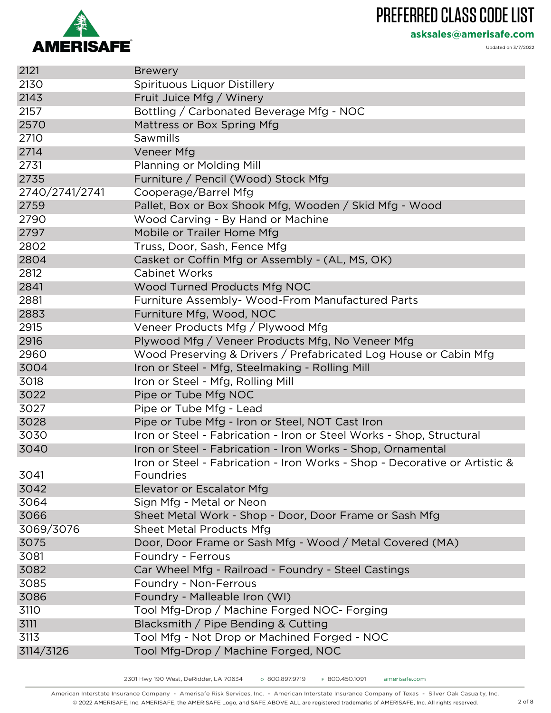

**asksales@amerisafe.com**

| 2121           | <b>Brewery</b>                                                             |
|----------------|----------------------------------------------------------------------------|
| 2130           | Spirituous Liquor Distillery                                               |
| 2143           | Fruit Juice Mfg / Winery                                                   |
| 2157           | Bottling / Carbonated Beverage Mfg - NOC                                   |
| 2570           | Mattress or Box Spring Mfg                                                 |
| 2710           | Sawmills                                                                   |
| 2714           | Veneer Mfg                                                                 |
| 2731           | Planning or Molding Mill                                                   |
| 2735           | Furniture / Pencil (Wood) Stock Mfg                                        |
| 2740/2741/2741 | Cooperage/Barrel Mfg                                                       |
| 2759           | Pallet, Box or Box Shook Mfg, Wooden / Skid Mfg - Wood                     |
| 2790           | Wood Carving - By Hand or Machine                                          |
| 2797           | Mobile or Trailer Home Mfg                                                 |
| 2802           | Truss, Door, Sash, Fence Mfg                                               |
| 2804           | Casket or Coffin Mfg or Assembly - (AL, MS, OK)                            |
| 2812           | <b>Cabinet Works</b>                                                       |
| 2841           | Wood Turned Products Mfg NOC                                               |
| 2881           | Furniture Assembly- Wood-From Manufactured Parts                           |
| 2883           | Furniture Mfg, Wood, NOC                                                   |
| 2915           | Veneer Products Mfg / Plywood Mfg                                          |
| 2916           | Plywood Mfg / Veneer Products Mfg, No Veneer Mfg                           |
| 2960           | Wood Preserving & Drivers / Prefabricated Log House or Cabin Mfg           |
| 3004           | Iron or Steel - Mfg, Steelmaking - Rolling Mill                            |
| 3018           | Iron or Steel - Mfg, Rolling Mill                                          |
| 3022           | Pipe or Tube Mfg NOC                                                       |
| 3027           | Pipe or Tube Mfg - Lead                                                    |
| 3028           | Pipe or Tube Mfg - Iron or Steel, NOT Cast Iron                            |
| 3030           | Iron or Steel - Fabrication - Iron or Steel Works - Shop, Structural       |
| 3040           | Iron or Steel - Fabrication - Iron Works - Shop, Ornamental                |
|                | Iron or Steel - Fabrication - Iron Works - Shop - Decorative or Artistic & |
| 3041           | Foundries                                                                  |
| 3042           | Elevator or Escalator Mfg                                                  |
| 3064           | Sign Mfg - Metal or Neon                                                   |
| 3066           | Sheet Metal Work - Shop - Door, Door Frame or Sash Mfg                     |
| 3069/3076      | Sheet Metal Products Mfg                                                   |
| 3075           | Door, Door Frame or Sash Mfg - Wood / Metal Covered (MA)                   |
| 3081           | Foundry - Ferrous                                                          |
| 3082           | Car Wheel Mfg - Railroad - Foundry - Steel Castings                        |
| 3085           | Foundry - Non-Ferrous                                                      |
| 3086           | Foundry - Malleable Iron (WI)                                              |
| 3110           | Tool Mfg-Drop / Machine Forged NOC- Forging                                |
| 3111           | Blacksmith / Pipe Bending & Cutting                                        |
| 3113           | Tool Mfg - Not Drop or Machined Forged - NOC                               |
| 3114/3126      | Tool Mfg-Drop / Machine Forged, NOC                                        |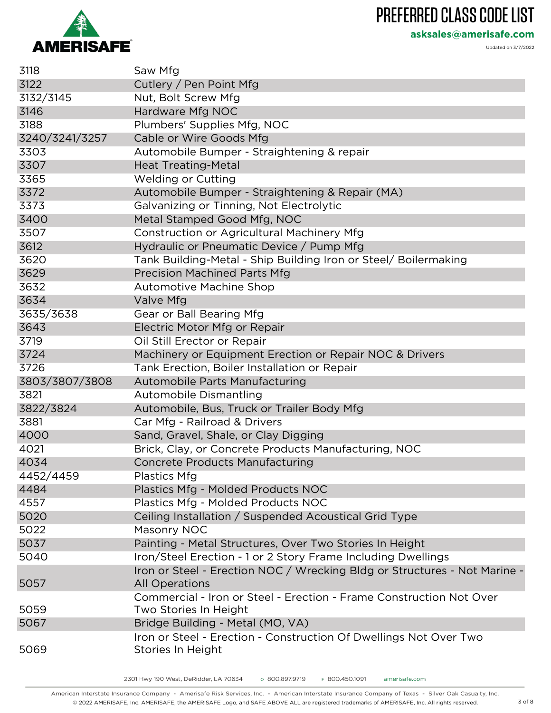

**asksales@amerisafe.com**

Updated on 3/7/2022

| 3118           | Saw Mfg                                                                                            |
|----------------|----------------------------------------------------------------------------------------------------|
| 3122           | Cutlery / Pen Point Mfg                                                                            |
| 3132/3145      | Nut, Bolt Screw Mfg                                                                                |
| 3146           | Hardware Mfg NOC                                                                                   |
| 3188           | Plumbers' Supplies Mfg, NOC                                                                        |
| 3240/3241/3257 | Cable or Wire Goods Mfg                                                                            |
| 3303           | Automobile Bumper - Straightening & repair                                                         |
| 3307           | <b>Heat Treating-Metal</b>                                                                         |
| 3365           | <b>Welding or Cutting</b>                                                                          |
| 3372           | Automobile Bumper - Straightening & Repair (MA)                                                    |
| 3373           | Galvanizing or Tinning, Not Electrolytic                                                           |
| 3400           | Metal Stamped Good Mfg, NOC                                                                        |
| 3507           | Construction or Agricultural Machinery Mfg                                                         |
| 3612           | Hydraulic or Pneumatic Device / Pump Mfg                                                           |
| 3620           | Tank Building-Metal - Ship Building Iron or Steel/ Boilermaking                                    |
| 3629           | <b>Precision Machined Parts Mfg</b>                                                                |
| 3632           | <b>Automotive Machine Shop</b>                                                                     |
| 3634           | Valve Mfg                                                                                          |
| 3635/3638      | Gear or Ball Bearing Mfg                                                                           |
| 3643           | Electric Motor Mfg or Repair                                                                       |
| 3719           | Oil Still Erector or Repair                                                                        |
| 3724           | Machinery or Equipment Erection or Repair NOC & Drivers                                            |
| 3726           | Tank Erection, Boiler Installation or Repair                                                       |
| 3803/3807/3808 | Automobile Parts Manufacturing                                                                     |
| 3821           | Automobile Dismantling                                                                             |
| 3822/3824      | Automobile, Bus, Truck or Trailer Body Mfg                                                         |
| 3881           | Car Mfg - Railroad & Drivers                                                                       |
| 4000           | Sand, Gravel, Shale, or Clay Digging                                                               |
| 4021           | Brick, Clay, or Concrete Products Manufacturing, NOC                                               |
| 4034           | <b>Concrete Products Manufacturing</b>                                                             |
| 4452/4459      | Plastics Mfg                                                                                       |
| 4484           | Plastics Mfg - Molded Products NOC                                                                 |
| 4557           | Plastics Mfg - Molded Products NOC                                                                 |
| 5020           | Ceiling Installation / Suspended Acoustical Grid Type                                              |
| 5022           | Masonry NOC                                                                                        |
| 5037           | Painting - Metal Structures, Over Two Stories In Height                                            |
| 5040           | Iron/Steel Erection - 1 or 2 Story Frame Including Dwellings                                       |
| 5057           | Iron or Steel - Erection NOC / Wrecking Bldg or Structures - Not Marine -<br><b>All Operations</b> |
| 5059           | Commercial - Iron or Steel - Erection - Frame Construction Not Over<br>Two Stories In Height       |
| 5067           | Bridge Building - Metal (MO, VA)                                                                   |
| 5069           | Iron or Steel - Erection - Construction Of Dwellings Not Over Two<br>Stories In Height             |

American Interstate Insurance Company - Amerisafe Risk Services, Inc. - American Interstate Insurance Company of Texas - Silver Oak Casualty, Inc. © 2022 AMERISAFE, Inc. AMERISAFE, the AMERISAFE Logo, and SAFE ABOVE ALL are registered trademarks of AMERISAFE, Inc. All rights reserved. 3 of 8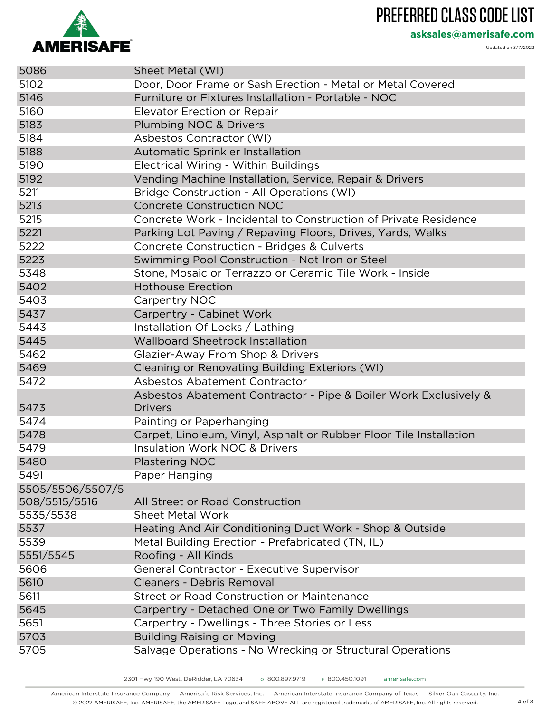

**asksales@amerisafe.com**

| 5086             | Sheet Metal (WI)                                                   |
|------------------|--------------------------------------------------------------------|
| 5102             | Door, Door Frame or Sash Erection - Metal or Metal Covered         |
| 5146             | Furniture or Fixtures Installation - Portable - NOC                |
| 5160             | Elevator Erection or Repair                                        |
| 5183             | Plumbing NOC & Drivers                                             |
| 5184             | Asbestos Contractor (WI)                                           |
| 5188             | Automatic Sprinkler Installation                                   |
| 5190             | Electrical Wiring - Within Buildings                               |
| 5192             | Vending Machine Installation, Service, Repair & Drivers            |
| 5211             | Bridge Construction - All Operations (WI)                          |
| 5213             | <b>Concrete Construction NOC</b>                                   |
| 5215             | Concrete Work - Incidental to Construction of Private Residence    |
| 5221             | Parking Lot Paving / Repaving Floors, Drives, Yards, Walks         |
| 5222             | Concrete Construction - Bridges & Culverts                         |
| 5223             | Swimming Pool Construction - Not Iron or Steel                     |
| 5348             | Stone, Mosaic or Terrazzo or Ceramic Tile Work - Inside            |
| 5402             | <b>Hothouse Erection</b>                                           |
| 5403             | Carpentry NOC                                                      |
| 5437             | Carpentry - Cabinet Work                                           |
| 5443             | Installation Of Locks / Lathing                                    |
| 5445             | <b>Wallboard Sheetrock Installation</b>                            |
| 5462             | Glazier-Away From Shop & Drivers                                   |
| 5469             | Cleaning or Renovating Building Exteriors (WI)                     |
| 5472             | Asbestos Abatement Contractor                                      |
|                  | Asbestos Abatement Contractor - Pipe & Boiler Work Exclusively &   |
| 5473             | <b>Drivers</b>                                                     |
| 5474             | Painting or Paperhanging                                           |
| 5478             | Carpet, Linoleum, Vinyl, Asphalt or Rubber Floor Tile Installation |
| 5479             | <b>Insulation Work NOC &amp; Drivers</b>                           |
| 5480             | Plastering NOC                                                     |
| 5491             | Paper Hanging                                                      |
| 5505/5506/5507/5 |                                                                    |
| 508/5515/5516    | All Street or Road Construction                                    |
| 5535/5538        | <b>Sheet Metal Work</b>                                            |
| 5537             | Heating And Air Conditioning Duct Work - Shop & Outside            |
| 5539             | Metal Building Erection - Prefabricated (TN, IL)                   |
| 5551/5545        | Roofing - All Kinds                                                |
| 5606             | General Contractor - Executive Supervisor                          |
| 5610             | Cleaners - Debris Removal                                          |
| 5611             | Street or Road Construction or Maintenance                         |
| 5645             | Carpentry - Detached One or Two Family Dwellings                   |
| 5651             | Carpentry - Dwellings - Three Stories or Less                      |
| 5703             | <b>Building Raising or Moving</b>                                  |
| 5705             | Salvage Operations - No Wrecking or Structural Operations          |
|                  |                                                                    |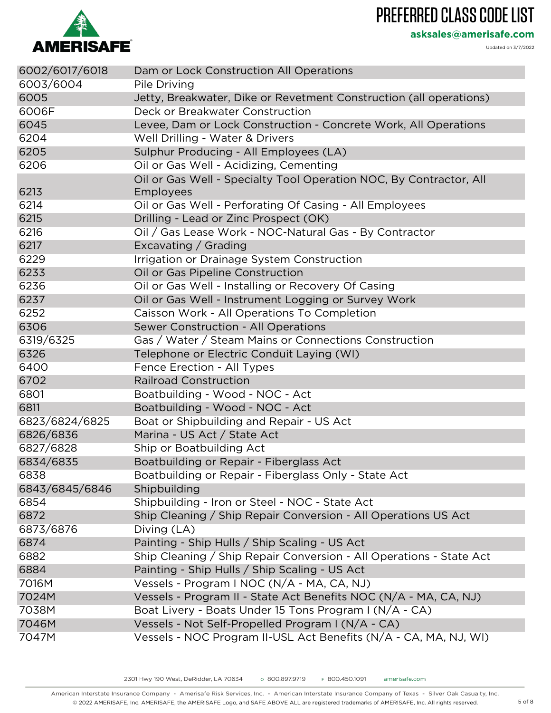

**asksales@amerisafe.com**

| 6002/6017/6018 | Dam or Lock Construction All Operations                                         |
|----------------|---------------------------------------------------------------------------------|
| 6003/6004      | Pile Driving                                                                    |
| 6005           | Jetty, Breakwater, Dike or Revetment Construction (all operations)              |
| 6006F          | Deck or Breakwater Construction                                                 |
| 6045           | Levee, Dam or Lock Construction - Concrete Work, All Operations                 |
| 6204           | Well Drilling - Water & Drivers                                                 |
| 6205           | Sulphur Producing - All Employees (LA)                                          |
| 6206           | Oil or Gas Well - Acidizing, Cementing                                          |
| 6213           | Oil or Gas Well - Specialty Tool Operation NOC, By Contractor, All<br>Employees |
| 6214           | Oil or Gas Well - Perforating Of Casing - All Employees                         |
| 6215           | Drilling - Lead or Zinc Prospect (OK)                                           |
| 6216           | Oil / Gas Lease Work - NOC-Natural Gas - By Contractor                          |
| 6217           | Excavating / Grading                                                            |
| 6229           | Irrigation or Drainage System Construction                                      |
| 6233           | Oil or Gas Pipeline Construction                                                |
| 6236           | Oil or Gas Well - Installing or Recovery Of Casing                              |
| 6237           | Oil or Gas Well - Instrument Logging or Survey Work                             |
| 6252           | Caisson Work - All Operations To Completion                                     |
| 6306           | Sewer Construction - All Operations                                             |
| 6319/6325      | Gas / Water / Steam Mains or Connections Construction                           |
| 6326           | Telephone or Electric Conduit Laying (WI)                                       |
| 6400           | Fence Erection - All Types                                                      |
| 6702           | <b>Railroad Construction</b>                                                    |
| 6801           | Boatbuilding - Wood - NOC - Act                                                 |
| 6811           | Boatbuilding - Wood - NOC - Act                                                 |
| 6823/6824/6825 | Boat or Shipbuilding and Repair - US Act                                        |
| 6826/6836      | Marina - US Act / State Act                                                     |
| 6827/6828      | Ship or Boatbuilding Act                                                        |
| 6834/6835      | Boatbuilding or Repair - Fiberglass Act                                         |
| 6838           | Boatbuilding or Repair - Fiberglass Only - State Act                            |
| 6843/6845/6846 | Shipbuilding                                                                    |
| 6854           | Shipbuilding - Iron or Steel - NOC - State Act                                  |
| 6872           | Ship Cleaning / Ship Repair Conversion - All Operations US Act                  |
| 6873/6876      | Diving (LA)                                                                     |
| 6874           | Painting - Ship Hulls / Ship Scaling - US Act                                   |
| 6882           | Ship Cleaning / Ship Repair Conversion - All Operations - State Act             |
| 6884           | Painting - Ship Hulls / Ship Scaling - US Act                                   |
| 7016M          | Vessels - Program I NOC (N/A - MA, CA, NJ)                                      |
| 7024M          | Vessels - Program II - State Act Benefits NOC (N/A - MA, CA, NJ)                |
| 7038M          | Boat Livery - Boats Under 15 Tons Program I (N/A - CA)                          |
| 7046M          | Vessels - Not Self-Propelled Program I (N/A - CA)                               |
| 7047M          | Vessels - NOC Program II-USL Act Benefits (N/A - CA, MA, NJ, WI)                |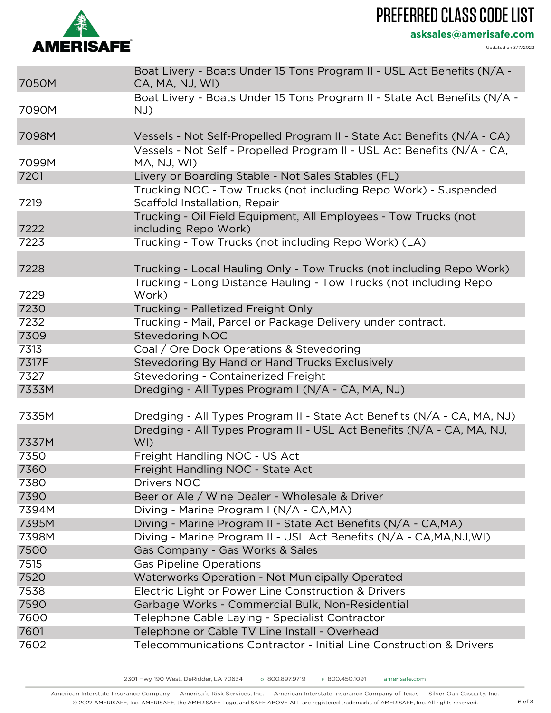# **AMERISAFE**

#### PREFERRED CLASS CODE LIST

**asksales@amerisafe.com**

| 7050M | Boat Livery - Boats Under 15 Tons Program II - USL Act Benefits (N/A -<br>CA, MA, NJ, WI)        |
|-------|--------------------------------------------------------------------------------------------------|
| 7090M | Boat Livery - Boats Under 15 Tons Program II - State Act Benefits (N/A -<br>NJ)                  |
|       |                                                                                                  |
| 7098M | Vessels - Not Self-Propelled Program II - State Act Benefits (N/A - CA)                          |
| 7099M | Vessels - Not Self - Propelled Program II - USL Act Benefits (N/A - CA,<br>MA, NJ, WI)           |
| 7201  | Livery or Boarding Stable - Not Sales Stables (FL)                                               |
| 7219  | Trucking NOC - Tow Trucks (not including Repo Work) - Suspended<br>Scaffold Installation, Repair |
| 7222  | Trucking - Oil Field Equipment, All Employees - Tow Trucks (not<br>including Repo Work)          |
| 7223  | Trucking - Tow Trucks (not including Repo Work) (LA)                                             |
|       |                                                                                                  |
| 7228  | Trucking - Local Hauling Only - Tow Trucks (not including Repo Work)                             |
| 7229  | Trucking - Long Distance Hauling - Tow Trucks (not including Repo<br>Work)                       |
| 7230  | Trucking - Palletized Freight Only                                                               |
| 7232  | Trucking - Mail, Parcel or Package Delivery under contract.                                      |
| 7309  | <b>Stevedoring NOC</b>                                                                           |
| 7313  | Coal / Ore Dock Operations & Stevedoring                                                         |
| 7317F | Stevedoring By Hand or Hand Trucks Exclusively                                                   |
| 7327  | Stevedoring - Containerized Freight                                                              |
| 7333M | Dredging - All Types Program I (N/A - CA, MA, NJ)                                                |
|       |                                                                                                  |
| 7335M | Dredging - All Types Program II - State Act Benefits (N/A - CA, MA, NJ)                          |
| 7337M | Dredging - All Types Program II - USL Act Benefits (N/A - CA, MA, NJ,<br>WI)                     |
| 7350  | Freight Handling NOC - US Act                                                                    |
| 7360  | Freight Handling NOC - State Act                                                                 |
| 7380  | Drivers NOC                                                                                      |
| 7390  | Beer or Ale / Wine Dealer - Wholesale & Driver                                                   |
| 7394M | Diving - Marine Program I (N/A - CA,MA)                                                          |
| 7395M | Diving - Marine Program II - State Act Benefits (N/A - CA, MA)                                   |
| 7398M | Diving - Marine Program II - USL Act Benefits (N/A - CA, MA, NJ, WI)                             |
| 7500  | Gas Company - Gas Works & Sales                                                                  |
| 7515  | <b>Gas Pipeline Operations</b>                                                                   |
| 7520  | Waterworks Operation - Not Municipally Operated                                                  |
| 7538  | Electric Light or Power Line Construction & Drivers                                              |
| 7590  | Garbage Works - Commercial Bulk, Non-Residential                                                 |
| 7600  | Telephone Cable Laying - Specialist Contractor                                                   |
| 7601  | Telephone or Cable TV Line Install - Overhead                                                    |
| 7602  | Telecommunications Contractor - Initial Line Construction & Drivers                              |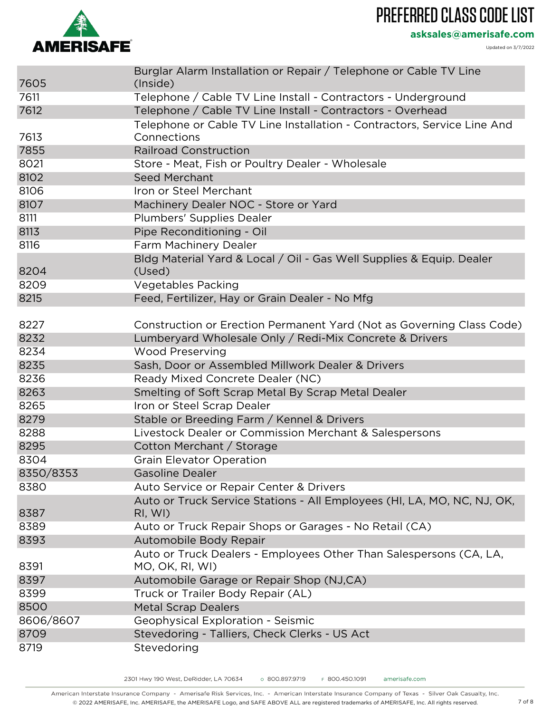

**asksales@amerisafe.com**

Updated on 3/7/2022

| Burglar Alarm Installation or Repair / Telephone or Cable TV Line<br>7605<br>(Inside)<br>7611<br>Telephone / Cable TV Line Install - Contractors - Underground<br>7612<br>Telephone / Cable TV Line Install - Contractors - Overhead<br>Telephone or Cable TV Line Installation - Contractors, Service Line And<br>7613<br>Connections<br>7855<br><b>Railroad Construction</b><br>8021<br>Store - Meat, Fish or Poultry Dealer - Wholesale<br>8102<br><b>Seed Merchant</b><br>8106<br>Iron or Steel Merchant<br>8107<br>Machinery Dealer NOC - Store or Yard<br>8111<br>Plumbers' Supplies Dealer<br>8113<br>Pipe Reconditioning - Oil<br>8116<br>Farm Machinery Dealer<br>Bldg Material Yard & Local / Oil - Gas Well Supplies & Equip. Dealer<br>8204<br>(Used)<br><b>Vegetables Packing</b><br>8209<br>8215<br>Feed, Fertilizer, Hay or Grain Dealer - No Mfg<br>8227<br>Construction or Erection Permanent Yard (Not as Governing Class Code)<br>8232<br>Lumberyard Wholesale Only / Redi-Mix Concrete & Drivers<br>8234<br><b>Wood Preserving</b> |
|--------------------------------------------------------------------------------------------------------------------------------------------------------------------------------------------------------------------------------------------------------------------------------------------------------------------------------------------------------------------------------------------------------------------------------------------------------------------------------------------------------------------------------------------------------------------------------------------------------------------------------------------------------------------------------------------------------------------------------------------------------------------------------------------------------------------------------------------------------------------------------------------------------------------------------------------------------------------------------------------------------------------------------------------------------|
|                                                                                                                                                                                                                                                                                                                                                                                                                                                                                                                                                                                                                                                                                                                                                                                                                                                                                                                                                                                                                                                        |
|                                                                                                                                                                                                                                                                                                                                                                                                                                                                                                                                                                                                                                                                                                                                                                                                                                                                                                                                                                                                                                                        |
|                                                                                                                                                                                                                                                                                                                                                                                                                                                                                                                                                                                                                                                                                                                                                                                                                                                                                                                                                                                                                                                        |
|                                                                                                                                                                                                                                                                                                                                                                                                                                                                                                                                                                                                                                                                                                                                                                                                                                                                                                                                                                                                                                                        |
|                                                                                                                                                                                                                                                                                                                                                                                                                                                                                                                                                                                                                                                                                                                                                                                                                                                                                                                                                                                                                                                        |
|                                                                                                                                                                                                                                                                                                                                                                                                                                                                                                                                                                                                                                                                                                                                                                                                                                                                                                                                                                                                                                                        |
|                                                                                                                                                                                                                                                                                                                                                                                                                                                                                                                                                                                                                                                                                                                                                                                                                                                                                                                                                                                                                                                        |
|                                                                                                                                                                                                                                                                                                                                                                                                                                                                                                                                                                                                                                                                                                                                                                                                                                                                                                                                                                                                                                                        |
|                                                                                                                                                                                                                                                                                                                                                                                                                                                                                                                                                                                                                                                                                                                                                                                                                                                                                                                                                                                                                                                        |
|                                                                                                                                                                                                                                                                                                                                                                                                                                                                                                                                                                                                                                                                                                                                                                                                                                                                                                                                                                                                                                                        |
|                                                                                                                                                                                                                                                                                                                                                                                                                                                                                                                                                                                                                                                                                                                                                                                                                                                                                                                                                                                                                                                        |
|                                                                                                                                                                                                                                                                                                                                                                                                                                                                                                                                                                                                                                                                                                                                                                                                                                                                                                                                                                                                                                                        |
|                                                                                                                                                                                                                                                                                                                                                                                                                                                                                                                                                                                                                                                                                                                                                                                                                                                                                                                                                                                                                                                        |
|                                                                                                                                                                                                                                                                                                                                                                                                                                                                                                                                                                                                                                                                                                                                                                                                                                                                                                                                                                                                                                                        |
|                                                                                                                                                                                                                                                                                                                                                                                                                                                                                                                                                                                                                                                                                                                                                                                                                                                                                                                                                                                                                                                        |
|                                                                                                                                                                                                                                                                                                                                                                                                                                                                                                                                                                                                                                                                                                                                                                                                                                                                                                                                                                                                                                                        |
|                                                                                                                                                                                                                                                                                                                                                                                                                                                                                                                                                                                                                                                                                                                                                                                                                                                                                                                                                                                                                                                        |
|                                                                                                                                                                                                                                                                                                                                                                                                                                                                                                                                                                                                                                                                                                                                                                                                                                                                                                                                                                                                                                                        |
|                                                                                                                                                                                                                                                                                                                                                                                                                                                                                                                                                                                                                                                                                                                                                                                                                                                                                                                                                                                                                                                        |
|                                                                                                                                                                                                                                                                                                                                                                                                                                                                                                                                                                                                                                                                                                                                                                                                                                                                                                                                                                                                                                                        |
| 8235<br>Sash, Door or Assembled Millwork Dealer & Drivers                                                                                                                                                                                                                                                                                                                                                                                                                                                                                                                                                                                                                                                                                                                                                                                                                                                                                                                                                                                              |
| 8236<br>Ready Mixed Concrete Dealer (NC)                                                                                                                                                                                                                                                                                                                                                                                                                                                                                                                                                                                                                                                                                                                                                                                                                                                                                                                                                                                                               |
| 8263<br>Smelting of Soft Scrap Metal By Scrap Metal Dealer                                                                                                                                                                                                                                                                                                                                                                                                                                                                                                                                                                                                                                                                                                                                                                                                                                                                                                                                                                                             |
| 8265<br>Iron or Steel Scrap Dealer                                                                                                                                                                                                                                                                                                                                                                                                                                                                                                                                                                                                                                                                                                                                                                                                                                                                                                                                                                                                                     |
| 8279<br>Stable or Breeding Farm / Kennel & Drivers                                                                                                                                                                                                                                                                                                                                                                                                                                                                                                                                                                                                                                                                                                                                                                                                                                                                                                                                                                                                     |
| 8288<br>Livestock Dealer or Commission Merchant & Salespersons                                                                                                                                                                                                                                                                                                                                                                                                                                                                                                                                                                                                                                                                                                                                                                                                                                                                                                                                                                                         |
| 8295<br>Cotton Merchant / Storage                                                                                                                                                                                                                                                                                                                                                                                                                                                                                                                                                                                                                                                                                                                                                                                                                                                                                                                                                                                                                      |
| 8304<br><b>Grain Elevator Operation</b>                                                                                                                                                                                                                                                                                                                                                                                                                                                                                                                                                                                                                                                                                                                                                                                                                                                                                                                                                                                                                |
| 8350/8353<br>Gasoline Dealer                                                                                                                                                                                                                                                                                                                                                                                                                                                                                                                                                                                                                                                                                                                                                                                                                                                                                                                                                                                                                           |
| 8380<br>Auto Service or Repair Center & Drivers                                                                                                                                                                                                                                                                                                                                                                                                                                                                                                                                                                                                                                                                                                                                                                                                                                                                                                                                                                                                        |
| Auto or Truck Service Stations - All Employees (HI, LA, MO, NC, NJ, OK,                                                                                                                                                                                                                                                                                                                                                                                                                                                                                                                                                                                                                                                                                                                                                                                                                                                                                                                                                                                |
| 8387<br>RI, WI)                                                                                                                                                                                                                                                                                                                                                                                                                                                                                                                                                                                                                                                                                                                                                                                                                                                                                                                                                                                                                                        |
| Auto or Truck Repair Shops or Garages - No Retail (CA)<br>8389                                                                                                                                                                                                                                                                                                                                                                                                                                                                                                                                                                                                                                                                                                                                                                                                                                                                                                                                                                                         |
| 8393<br>Automobile Body Repair                                                                                                                                                                                                                                                                                                                                                                                                                                                                                                                                                                                                                                                                                                                                                                                                                                                                                                                                                                                                                         |
| Auto or Truck Dealers - Employees Other Than Salespersons (CA, LA,                                                                                                                                                                                                                                                                                                                                                                                                                                                                                                                                                                                                                                                                                                                                                                                                                                                                                                                                                                                     |
| 8391<br>MO, OK, RI, WI)                                                                                                                                                                                                                                                                                                                                                                                                                                                                                                                                                                                                                                                                                                                                                                                                                                                                                                                                                                                                                                |
| 8397<br>Automobile Garage or Repair Shop (NJ,CA)                                                                                                                                                                                                                                                                                                                                                                                                                                                                                                                                                                                                                                                                                                                                                                                                                                                                                                                                                                                                       |
| 8399<br>Truck or Trailer Body Repair (AL)                                                                                                                                                                                                                                                                                                                                                                                                                                                                                                                                                                                                                                                                                                                                                                                                                                                                                                                                                                                                              |
| 8500<br><b>Metal Scrap Dealers</b>                                                                                                                                                                                                                                                                                                                                                                                                                                                                                                                                                                                                                                                                                                                                                                                                                                                                                                                                                                                                                     |
| 8606/8607<br>Geophysical Exploration - Seismic                                                                                                                                                                                                                                                                                                                                                                                                                                                                                                                                                                                                                                                                                                                                                                                                                                                                                                                                                                                                         |
| 8709<br>Stevedoring - Talliers, Check Clerks - US Act                                                                                                                                                                                                                                                                                                                                                                                                                                                                                                                                                                                                                                                                                                                                                                                                                                                                                                                                                                                                  |
| 8719<br>Stevedoring                                                                                                                                                                                                                                                                                                                                                                                                                                                                                                                                                                                                                                                                                                                                                                                                                                                                                                                                                                                                                                    |

American Interstate Insurance Company - Amerisafe Risk Services, Inc. - American Interstate Insurance Company of Texas - Silver Oak Casualty, Inc. © 2022 AMERISAFE, Inc. AMERISAFE, the AMERISAFE Logo, and SAFE ABOVE ALL are registered trademarks of AMERISAFE, Inc. All rights reserved. 7 of 8